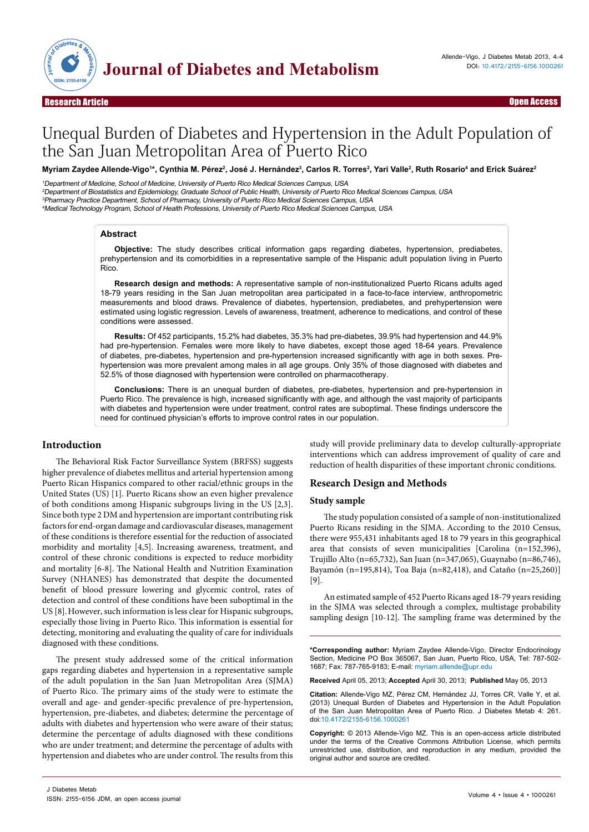

Open Access

# Unequal Burden of Diabetes and Hypertension in the Adult Population of the San Juan Metropolitan Area of Puerto Rico

Myriam Zaydee Allende-Vigo1\*, Cynthia M. Pérez<sup>2</sup>, José J. Hernández<sup>3</sup>, Carlos R. Torres<sup>2</sup>, Yari Valle<sup>2</sup>, Ruth Rosario<sup>4</sup> and Erick Suárez<sup>2</sup>

Department of Medicine, School of Medicine, University of Puerto Rico Medical Sciences Campus, USA Department of Biostatistics and Epidemiology, Graduate School of Public Health, University of Puerto Rico Medical Sciences Campus, USA Pharmacy Practice Department, School of Pharmacy, University of Puerto Rico Medical Sciences Campus, USA Medical Technology Program, School of Health Professions, University of Puerto Rico Medical Sciences Campus, USA

# **Abstract**

**Objective:** The study describes critical information gaps regarding diabetes, hypertension, prediabetes, prehypertension and its comorbidities in a representative sample of the Hispanic adult population living in Puerto Rico.

**Research design and methods:** A representative sample of non-institutionalized Puerto Ricans adults aged 18-79 years residing in the San Juan metropolitan area participated in a face-to-face interview, anthropometric measurements and blood draws. Prevalence of diabetes, hypertension, prediabetes, and prehypertension were estimated using logistic regression. Levels of awareness, treatment, adherence to medications, and control of these conditions were assessed.

**Results:** Of 452 participants, 15.2% had diabetes, 35.3% had pre-diabetes, 39.9% had hypertension and 44.9% had pre-hypertension. Females were more likely to have diabetes, except those aged 18-64 years. Prevalence of diabetes, pre-diabetes, hypertension and pre-hypertension increased significantly with age in both sexes. Prehypertension was more prevalent among males in all age groups. Only 35% of those diagnosed with diabetes and 52.5% of those diagnosed with hypertension were controlled on pharmacotherapy.

**Conclusions:** There is an unequal burden of diabetes, pre-diabetes, hypertension and pre-hypertension in Puerto Rico. The prevalence is high, increased significantly with age, and although the vast majority of participants with diabetes and hypertension were under treatment, control rates are suboptimal. These findings underscore the need for continued physician's efforts to improve control rates in our population.

# **Introduction**

The Behavioral Risk Factor Surveillance System (BRFSS) suggests higher prevalence of diabetes mellitus and arterial hypertension among Puerto Rican Hispanics compared to other racial/ethnic groups in the United States (US) [1]. Puerto Ricans show an even higher prevalence of both conditions among Hispanic subgroups living in the US [2,3]. Since both type 2 DM and hypertension are important contributing risk factors for end-organ damage and cardiovascular diseases, management of these conditions is therefore essential for the reduction of associated morbidity and mortality [4,5]. Increasing awareness, treatment, and control of these chronic conditions is expected to reduce morbidity and mortality [6-8]. The National Health and Nutrition Examination Survey (NHANES) has demonstrated that despite the documented benefit of blood pressure lowering and glycemic control, rates of detection and control of these conditions have been suboptimal in the US [8].However, such information is less clear for Hispanic subgroups, especially those living in Puerto Rico. This information is essential for detecting, monitoring and evaluating the quality of care for individuals diagnosed with these conditions.

The present study addressed some of the critical information gaps regarding diabetes and hypertension in a representative sample of the adult population in the San Juan Metropolitan Area (SJMA) of Puerto Rico. The primary aims of the study were to estimate the overall and age- and gender-specific prevalence of pre-hypertension, hypertension, pre-diabetes, and diabetes; determine the percentage of adults with diabetes and hypertension who were aware of their status; determine the percentage of adults diagnosed with these conditions who are under treatment; and determine the percentage of adults with hypertension and diabetes who are under control. The results from this

study will provide preliminary data to develop culturally-appropriate interventions which can address improvement of quality of care and reduction of health disparities of these important chronic conditions.

## **Research Design and Methods**

## **Study sample**

The study population consisted of a sample of non-institutionalized Puerto Ricans residing in the SJMA. According to the 2010 Census, there were 955,431 inhabitants aged 18 to 79 years in this geographical area that consists of seven municipalities [Carolina (n=152,396), Trujillo Alto (n=65,732), San Juan (n=347,065), Guaynabo (n=86,746), Bayamón (n=195,814), Toa Baja (n=82,418), and Cataño (n=25,260)] [9].

An estimated sample of 452 Puerto Ricans aged 18-79 years residing in the SJMA was selected through a complex, multistage probability sampling design [10-12]. The sampling frame was determined by the

**\*Corresponding author:** Myriam Zaydee Allende-Vigo, Director Endocrinology Section, Medicine PO Box 365067, San Juan, Puerto Rico, USA, Tel: 787-502- 1687; Fax: 787-765-9183; E-mail: myriam.allende@upr.edu

**Received** April 05, 2013; **Accepted** April 30, 2013; **Published** May 05, 2013

**Citation:** Allende-Vigo MZ, Pérez CM, Hernández JJ, Torres CR, Valle Y, et al. (2013) Unequal Burden of Diabetes and Hypertension in the Adult Population of the San Juan Metropolitan Area of Puerto Rico. J Diabetes Metab 4: 261. doi:10.4172/2155-6156.1000261

**Copyright:** © 2013 Allende-Vigo MZ. This is an open-access article distributed under the terms of the Creative Commons Attribution License, which permits unrestricted use, distribution, and reproduction in any medium, provided the original author and source are credited.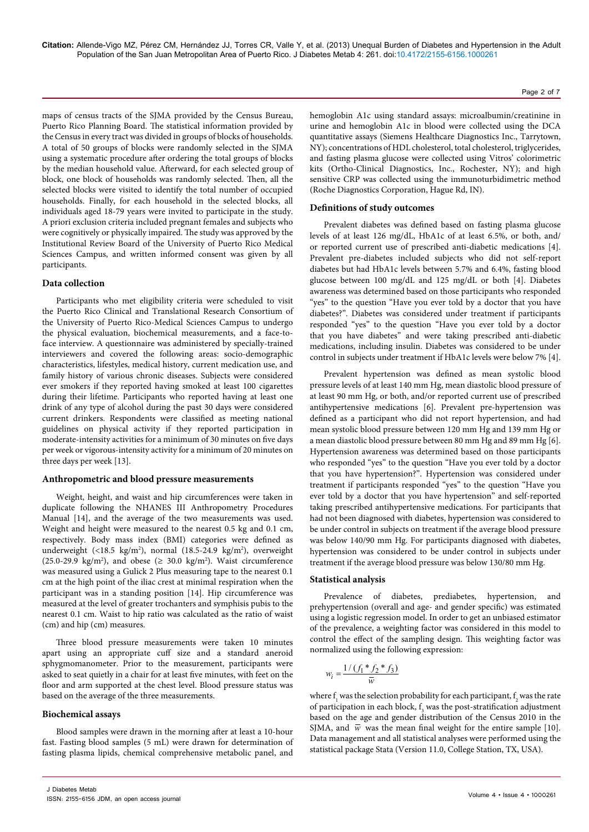maps of census tracts of the SJMA provided by the Census Bureau, Puerto Rico Planning Board. The statistical information provided by the Census in every tract was divided in groups of blocks of households. A total of 50 groups of blocks were randomly selected in the SJMA using a systematic procedure after ordering the total groups of blocks by the median household value. Afterward, for each selected group of block, one block of households was randomly selected. Then, all the selected blocks were visited to identify the total number of occupied households. Finally, for each household in the selected blocks, all individuals aged 18-79 years were invited to participate in the study. A priori exclusion criteria included pregnant females and subjects who were cognitively or physically impaired. The study was approved by the Institutional Review Board of the University of Puerto Rico Medical Sciences Campus, and written informed consent was given by all participants.

#### **Data collection**

Participants who met eligibility criteria were scheduled to visit the Puerto Rico Clinical and Translational Research Consortium of the University of Puerto Rico-Medical Sciences Campus to undergo the physical evaluation, biochemical measurements, and a face-toface interview. A questionnaire was administered by specially-trained interviewers and covered the following areas: socio-demographic characteristics, lifestyles, medical history, current medication use, and family history of various chronic diseases. Subjects were considered ever smokers if they reported having smoked at least 100 cigarettes during their lifetime. Participants who reported having at least one drink of any type of alcohol during the past 30 days were considered current drinkers. Respondents were classified as meeting national guidelines on physical activity if they reported participation in moderate-intensity activities for a minimum of 30 minutes on five days per week or vigorous-intensity activity for a minimum of 20 minutes on three days per week [13].

## **Anthropometric and blood pressure measurements**

Weight, height, and waist and hip circumferences were taken in duplicate following the NHANES III Anthropometry Procedures Manual [14], and the average of the two measurements was used. Weight and height were measured to the nearest 0.5 kg and 0.1 cm, respectively. Body mass index (BMI) categories were defined as underweight (<18.5 kg/m<sup>2</sup>), normal (18.5-24.9 kg/m<sup>2</sup>), overweight (25.0-29.9 kg/m<sup>2</sup>), and obese ( $\geq 30.0$  kg/m<sup>2</sup>). Waist circumference was measured using a Gulick 2 Plus measuring tape to the nearest 0.1 cm at the high point of the iliac crest at minimal respiration when the participant was in a standing position [14]. Hip circumference was measured at the level of greater trochanters and symphisis pubis to the nearest 0.1 cm. Waist to hip ratio was calculated as the ratio of waist (cm) and hip (cm) measures.

Three blood pressure measurements were taken 10 minutes apart using an appropriate cuff size and a standard aneroid sphygmomanometer. Prior to the measurement, participants were asked to seat quietly in a chair for at least five minutes, with feet on the floor and arm supported at the chest level. Blood pressure status was based on the average of the three measurements.

#### **Biochemical assays**

Blood samples were drawn in the morning after at least a 10-hour fast. Fasting blood samples (5 mL) were drawn for determination of fasting plasma lipids, chemical comprehensive metabolic panel, and hemoglobin A1c using standard assays: microalbumin/creatinine in urine and hemoglobin A1c in blood were collected using the DCA quantitative assays (Siemens Healthcare Diagnostics Inc., Tarrytown, NY); concentrations of HDL cholesterol, total cholesterol, triglycerides, and fasting plasma glucose were collected using Vitros' colorimetric kits (Ortho-Clinical Diagnostics, Inc., Rochester, NY); and high sensitive CRP was collected using the immunoturbidimetric method (Roche Diagnostics Corporation, Hague Rd, IN).

#### **Definitions of study outcomes**

Prevalent diabetes was defined based on fasting plasma glucose levels of at least 126 mg/dL, HbA1c of at least 6.5%, or both, and/ or reported current use of prescribed anti-diabetic medications [4]. Prevalent pre-diabetes included subjects who did not self-report diabetes but had HbA1c levels between 5.7% and 6.4%, fasting blood glucose between 100 mg/dL and 125 mg/dL or both [4]. Diabetes awareness was determined based on those participants who responded "yes" to the question "Have you ever told by a doctor that you have diabetes?". Diabetes was considered under treatment if participants responded "yes" to the question "Have you ever told by a doctor that you have diabetes" and were taking prescribed anti-diabetic medications, including insulin. Diabetes was considered to be under control in subjects under treatment if HbA1c levels were below 7% [4].

Prevalent hypertension was defined as mean systolic blood pressure levels of at least 140 mm Hg, mean diastolic blood pressure of at least 90 mm Hg, or both, and/or reported current use of prescribed antihypertensive medications [6]. Prevalent pre-hypertension was defined as a participant who did not report hypertension, and had mean systolic blood pressure between 120 mm Hg and 139 mm Hg or a mean diastolic blood pressure between 80 mm Hg and 89 mm Hg [6]. Hypertension awareness was determined based on those participants who responded "yes" to the question "Have you ever told by a doctor that you have hypertension?". Hypertension was considered under treatment if participants responded "yes" to the question "Have you ever told by a doctor that you have hypertension" and self-reported taking prescribed antihypertensive medications. For participants that had not been diagnosed with diabetes, hypertension was considered to be under control in subjects on treatment if the average blood pressure was below 140/90 mm Hg. For participants diagnosed with diabetes, hypertension was considered to be under control in subjects under treatment if the average blood pressure was below 130/80 mm Hg.

#### **Statistical analysis**

Prevalence of diabetes, prediabetes, hypertension, and prehypertension (overall and age- and gender specific) was estimated using a logistic regression model. In order to get an unbiased estimator of the prevalence, a weighting factor was considered in this model to control the effect of the sampling design. This weighting factor was normalized using the following expression:

$$
w_i = \frac{1/(f_1 * f_2 * f_3)}{\overline{w}}
$$

where  $\mathbf{f}_{\mathbf{l}}$  was the selection probability for each participant,  $\mathbf{f}_{\mathbf{2}}$  was the rate of participation in each block,  $f_3$  was the post-stratification adjustment based on the age and gender distribution of the Census 2010 in the SJMA, and  $\overline{w}$  was the mean final weight for the entire sample [10]. Data management and all statistical analyses were performed using the statistical package Stata (Version 11.0, College Station, TX, USA).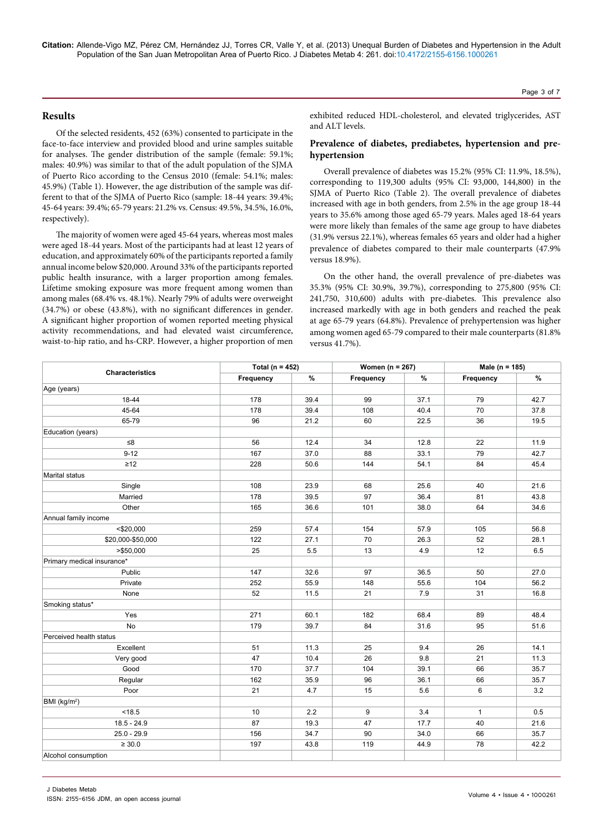**Citation:** Allende-Vigo MZ, Pérez CM, Hernández JJ, Torres CR, Valle Y, et al. (2013) Unequal Burden of Diabetes and Hypertension in the Adult Population of the San Juan Metropolitan Area of Puerto Rico. J Diabetes Metab 4: 261. doi:10.4172/2155-6156.1000261

## **Results**

Of the selected residents, 452 (63%) consented to participate in the face-to-face interview and provided blood and urine samples suitable for analyses. The gender distribution of the sample (female: 59.1%; males: 40.9%) was similar to that of the adult population of the SJMA of Puerto Rico according to the Census 2010 (female: 54.1%; males: 45.9%) (Table 1). However, the age distribution of the sample was different to that of the SJMA of Puerto Rico (sample: 18-44 years: 39.4%; 45-64 years: 39.4%; 65-79 years: 21.2% vs. Census: 49.5%, 34.5%, 16.0%, respectively).

The majority of women were aged 45-64 years, whereas most males were aged 18-44 years. Most of the participants had at least 12 years of education, and approximately 60% of the participants reported a family annual income below \$20,000. Around 33% of the participants reported public health insurance, with a larger proportion among females. Lifetime smoking exposure was more frequent among women than among males (68.4% vs. 48.1%). Nearly 79% of adults were overweight (34.7%) or obese (43.8%), with no significant differences in gender. A significant higher proportion of women reported meeting physical activity recommendations, and had elevated waist circumference, waist-to-hip ratio, and hs-CRP. However, a higher proportion of men exhibited reduced HDL-cholesterol, and elevated triglycerides, AST and ALT levels.

## **Prevalence of diabetes, prediabetes, hypertension and prehypertension**

Overall prevalence of diabetes was 15.2% (95% CI: 11.9%, 18.5%), corresponding to 119,300 adults (95% CI: 93,000, 144,800) in the SJMA of Puerto Rico (Table 2). The overall prevalence of diabetes increased with age in both genders, from 2.5% in the age group 18-44 years to 35.6% among those aged 65-79 years. Males aged 18-64 years were more likely than females of the same age group to have diabetes (31.9% versus 22.1%), whereas females 65 years and older had a higher prevalence of diabetes compared to their male counterparts (47.9% versus 18.9%).

On the other hand, the overall prevalence of pre-diabetes was 35.3% (95% CI: 30.9%, 39.7%), corresponding to 275,800 (95% CI: 241,750, 310,600) adults with pre-diabetes. This prevalence also increased markedly with age in both genders and reached the peak at age 65-79 years (64.8%). Prevalence of prehypertension was higher among women aged 65-79 compared to their male counterparts (81.8% versus 41.7%).

|                            | Total ( $n = 452$ ) |         | Women ( $n = 267$ ) |      | Male (n = 185) |      |
|----------------------------|---------------------|---------|---------------------|------|----------------|------|
| <b>Characteristics</b>     | Frequency           | $\%$    | Frequency           | %    | Frequency      | $\%$ |
| Age (years)                |                     |         |                     |      |                |      |
| 18-44                      | 178                 | 39.4    | 99                  | 37.1 | 79             | 42.7 |
| 45-64                      | 178                 | 39.4    | 108                 | 40.4 | 70             | 37.8 |
| 65-79                      | 96                  | 21.2    | 60                  | 22.5 | 36             | 19.5 |
| Education (years)          |                     |         |                     |      |                |      |
| ≤8                         | 56                  | 12.4    | 34                  | 12.8 | 22             | 11.9 |
| $9 - 12$                   | 167                 | 37.0    | 88                  | 33.1 | 79             | 42.7 |
| $\geq 12$                  | 228                 | 50.6    | 144                 | 54.1 | 84             | 45.4 |
| Marital status             |                     |         |                     |      |                |      |
| Single                     | 108                 | 23.9    | 68                  | 25.6 | 40             | 21.6 |
| Married                    | 178                 | 39.5    | 97                  | 36.4 | 81             | 43.8 |
| Other                      | 165                 | 36.6    | 101                 | 38.0 | 64             | 34.6 |
| Annual family income       |                     |         |                     |      |                |      |
| $<$ \$20,000               | 259                 | 57.4    | 154                 | 57.9 | 105            | 56.8 |
| \$20,000-\$50,000          | 122                 | 27.1    | 70                  | 26.3 | 52             | 28.1 |
| > \$50,000                 | 25                  | $5.5\,$ | 13                  | 4.9  | 12             | 6.5  |
| Primary medical insurance* |                     |         |                     |      |                |      |
| Public                     | 147                 | 32.6    | 97                  | 36.5 | 50             | 27.0 |
| Private                    | 252                 | 55.9    | 148                 | 55.6 | 104            | 56.2 |
| None                       | 52                  | 11.5    | 21                  | 7.9  | 31             | 16.8 |
| Smoking status*            |                     |         |                     |      |                |      |
| Yes                        | 271                 | 60.1    | 182                 | 68.4 | 89             | 48.4 |
| No                         | 179                 | 39.7    | 84                  | 31.6 | 95             | 51.6 |
| Perceived health status    |                     |         |                     |      |                |      |
| Excellent                  | 51                  | 11.3    | 25                  | 9.4  | 26             | 14.1 |
| Very good                  | 47                  | 10.4    | 26                  | 9.8  | 21             | 11.3 |
| Good                       | 170                 | 37.7    | 104                 | 39.1 | 66             | 35.7 |
| Regular                    | 162                 | 35.9    | 96                  | 36.1 | 66             | 35.7 |
| Poor                       | 21                  | 4.7     | 15                  | 5.6  | 6              | 3.2  |
| BMI (kg/m <sup>2</sup> )   |                     |         |                     |      |                |      |
| < 18.5                     | 10                  | 2.2     | 9                   | 3.4  | $\mathbf{1}$   | 0.5  |
| $18.5 - 24.9$              | 87                  | 19.3    | 47                  | 17.7 | 40             | 21.6 |
| $25.0 - 29.9$              | 156                 | 34.7    | 90                  | 34.0 | 66             | 35.7 |
| $\geq 30.0$                | 197                 | 43.8    | 119                 | 44.9 | 78             | 42.2 |
| Alcohol consumption        |                     |         |                     |      |                |      |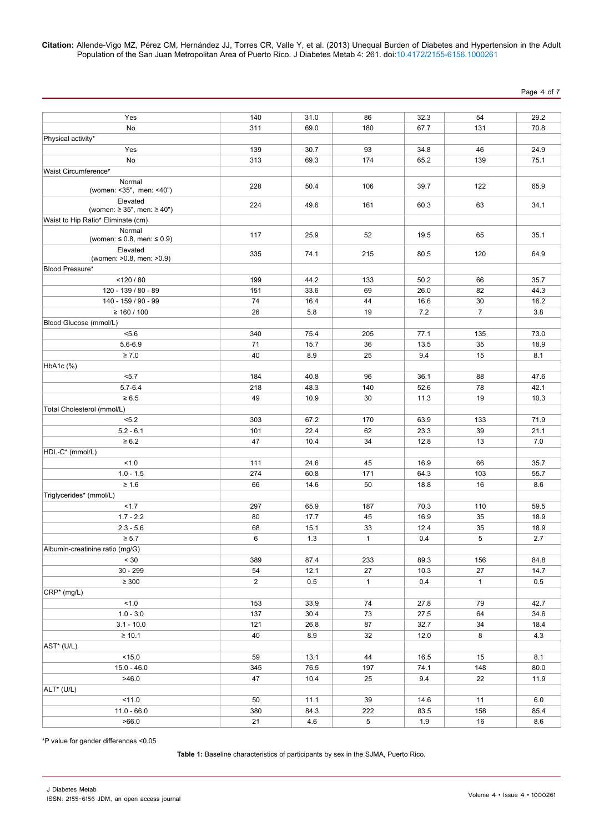**Citation:** Allende-Vigo MZ, Pérez CM, Hernández JJ, Torres CR, Valle Y, et al. (2013) Unequal Burden of Diabetes and Hypertension in the Adult Population of the San Juan Metropolitan Area of Puerto Rico. J Diabetes Metab 4: 261. doi:10.4172/2155-6156.1000261

Page 4 of 7

| Yes                                  | 140            | 31.0 | 86           | 32.3 | 54             | 29.2 |
|--------------------------------------|----------------|------|--------------|------|----------------|------|
| No                                   | 311            | 69.0 | 180          | 67.7 | 131            | 70.8 |
| Physical activity*                   |                |      |              |      |                |      |
| Yes                                  | 139            | 30.7 | 93           | 34.8 | 46             | 24.9 |
| No                                   | 313            | 69.3 | 174          | 65.2 | 139            | 75.1 |
| Waist Circumference*                 |                |      |              |      |                |      |
| Normal                               |                |      |              |      |                |      |
| (women: <35", men: <40")             | 228            | 50.4 | 106          | 39.7 | 122            | 65.9 |
| Elevated                             | 224            | 49.6 | 161          | 60.3 | 63             | 34.1 |
| (women: $\ge$ 35", men: $\ge$ 40")   |                |      |              |      |                |      |
| Waist to Hip Ratio* Eliminate (cm)   |                |      |              |      |                |      |
| Normal<br>(women: ≤ 0.8, men: ≤ 0.9) | 117            | 25.9 | 52           | 19.5 | 65             | 35.1 |
| Elevated                             |                |      |              |      |                |      |
| (women: >0.8, men: >0.9)             | 335            | 74.1 | 215          | 80.5 | 120            | 64.9 |
| Blood Pressure*                      |                |      |              |      |                |      |
| < 120 / 80                           | 199            | 44.2 | 133          | 50.2 | 66             | 35.7 |
| 120 - 139 / 80 - 89                  | 151            | 33.6 | 69           | 26.0 | 82             | 44.3 |
| 140 - 159 / 90 - 99                  | 74             | 16.4 | 44           | 16.6 | 30             | 16.2 |
| $\geq 160 / 100$                     | 26             | 5.8  | 19           | 7.2  | $\overline{7}$ | 3.8  |
| Blood Glucose (mmol/L)               |                |      |              |      |                |      |
| 5.6                                  | 340            | 75.4 | 205          | 77.1 | 135            | 73.0 |
| $5.6 - 6.9$                          | 71             | 15.7 | 36           | 13.5 | 35             | 18.9 |
| $\geq 7.0$                           | 40             | 8.9  | 25           | 9.4  | 15             | 8.1  |
| HbA1c (%)                            |                |      |              |      |                |      |
| < 5.7                                | 184            | 40.8 | 96           | 36.1 | 88             | 47.6 |
| $5.7 - 6.4$                          | 218            | 48.3 | 140          | 52.6 | 78             | 42.1 |
| $\geq 6.5$                           | 49             | 10.9 | 30           | 11.3 | 19             | 10.3 |
| Total Cholesterol (mmol/L)           |                |      |              |      |                |      |
| < 5.2                                | 303            | 67.2 | 170          | 63.9 | 133            | 71.9 |
| $5.2 - 6.1$                          | 101            | 22.4 | 62           | 23.3 | 39             | 21.1 |
| $\geq 6.2$                           | 47             | 10.4 | 34           | 12.8 | 13             | 7.0  |
| HDL-C* (mmol/L)                      |                |      |              |      |                |      |
| 1.0                                  | 111            | 24.6 | 45           | 16.9 | 66             | 35.7 |
| $1.0 - 1.5$                          | 274            | 60.8 | 171          | 64.3 | 103            | 55.7 |
| $\geq 1.6$                           | 66             | 14.6 | 50           | 18.8 | 16             | 8.6  |
| Triglycerides* (mmol/L)              |                |      |              |      |                |      |
| 1.7                                  | 297            | 65.9 | 187          | 70.3 | 110            | 59.5 |
| $1.7 - 2.2$                          | 80             | 17.7 | 45           | 16.9 | 35             | 18.9 |
| $2.3 - 5.6$                          | 68             | 15.1 | 33           | 12.4 | 35             | 18.9 |
| $\geq 5.7$                           | 6              | 1.3  | $\mathbf{1}$ | 0.4  | 5              | 2.7  |
| Albumin-creatinine ratio (mg/G)      |                |      |              |      |                |      |
| < 30                                 | 389            | 87.4 | 233          | 89.3 | 156            | 84.8 |
| $30 - 299$                           | 54             | 12.1 | $27\,$       | 10.3 | 27             | 14.7 |
| $\geq 300$                           | $\overline{2}$ | 0.5  | $\mathbf{1}$ | 0.4  | $\mathbf{1}$   | 0.5  |
| CRP* (mg/L)                          |                |      |              |      |                |      |
| 1.0                                  | 153            | 33.9 | 74           | 27.8 | 79             | 42.7 |
| $1.0 - 3.0$                          | 137            | 30.4 | 73           | 27.5 | 64             | 34.6 |
| $3.1 - 10.0$                         | 121            | 26.8 | 87           | 32.7 | 34             | 18.4 |
| $\geq 10.1$                          | 40             | 8.9  | 32           | 12.0 | 8              | 4.3  |
| AST* (U/L)                           |                |      |              |      |                |      |
| < 15.0                               | 59             | 13.1 | 44           | 16.5 | 15             | 8.1  |
| $15.0 - 46.0$                        | 345            | 76.5 | 197          | 74.1 | 148            | 80.0 |
| >46.0                                | 47             | 10.4 | 25           | 9.4  | 22             | 11.9 |
| ALT* (U/L)                           |                |      |              |      |                |      |
| 11.0                                 | 50             | 11.1 | 39           | 14.6 | 11             | 6.0  |
| $11.0 - 66.0$                        | 380            | 84.3 | 222          | 83.5 | 158            | 85.4 |
| >66.0                                | 21             | 4.6  | 5            | 1.9  | 16             | 8.6  |

\*P value for gender differences <0.05

**Table 1:** Baseline characteristics of participants by sex in the SJMA, Puerto Rico.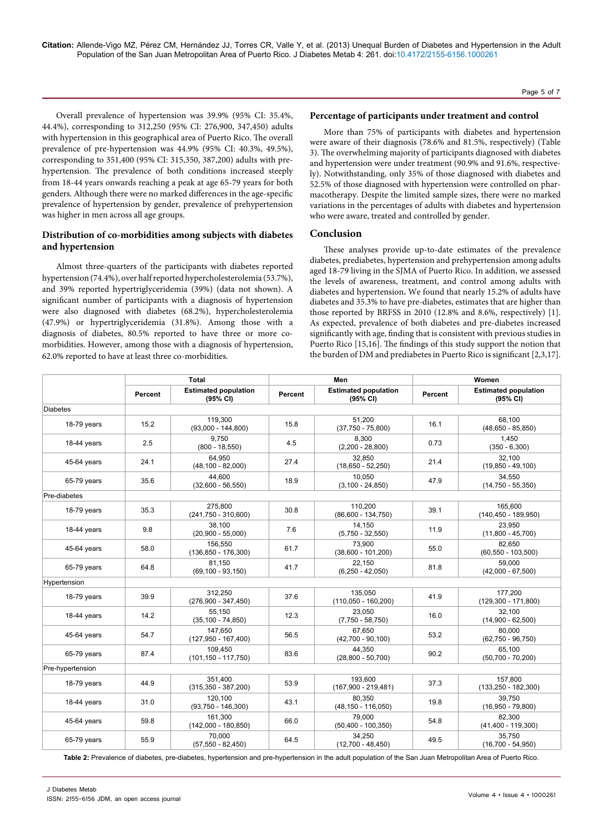**Citation:** Allende-Vigo MZ, Pérez CM, Hernández JJ, Torres CR, Valle Y, et al. (2013) Unequal Burden of Diabetes and Hypertension in the Adult Population of the San Juan Metropolitan Area of Puerto Rico. J Diabetes Metab 4: 261. doi:10.4172/2155-6156.1000261

Overall prevalence of hypertension was 39.9% (95% CI: 35.4%, 44.4%), corresponding to 312,250 (95% CI: 276,900, 347,450) adults with hypertension in this geographical area of Puerto Rico. The overall prevalence of pre-hypertension was 44.9% (95% CI: 40.3%, 49.5%), corresponding to 351,400 (95% CI: 315,350, 387,200) adults with prehypertension. The prevalence of both conditions increased steeply from 18-44 years onwards reaching a peak at age 65-79 years for both genders. Although there were no marked differences in the age-specific prevalence of hypertension by gender, prevalence of prehypertension was higher in men across all age groups.

# **Distribution of co-morbidities among subjects with diabetes and hypertension**

Almost three-quarters of the participants with diabetes reported hypertension (74.4%), over half reported hypercholesterolemia (53.7%), and 39% reported hypertriglyceridemia (39%) (data not shown). A significant number of participants with a diagnosis of hypertension were also diagnosed with diabetes (68.2%), hypercholesterolemia (47.9%) or hypertriglyceridemia (31.8%). Among those with a diagnosis of diabetes, 80.5% reported to have three or more comorbidities. However, among those with a diagnosis of hypertension, 62.0% reported to have at least three co-morbidities.

#### **Percentage of participants under treatment and control**

More than 75% of participants with diabetes and hypertension were aware of their diagnosis (78.6% and 81.5%, respectively) (Table 3). The overwhelming majority of participants diagnosed with diabetes and hypertension were under treatment (90.9% and 91.6%, respectively). Notwithstanding, only 35% of those diagnosed with diabetes and 52.5% of those diagnosed with hypertension were controlled on pharmacotherapy. Despite the limited sample sizes, there were no marked variations in the percentages of adults with diabetes and hypertension who were aware, treated and controlled by gender.

# **Conclusion**

These analyses provide up-to-date estimates of the prevalence diabetes, prediabetes, hypertension and prehypertension among adults aged 18-79 living in the SJMA of Puerto Rico. In addition, we assessed the levels of awareness, treatment, and control among adults with diabetes and hypertension**.** We found that nearly 15.2% of adults have diabetes and 35.3% to have pre-diabetes, estimates that are higher than those reported by BRFSS in 2010 (12.8% and 8.6%, respectively) [1]. As expected, prevalence of both diabetes and pre-diabetes increased significantly with age, finding that is consistent with previous studies in Puerto Rico [15,16]. The findings of this study support the notion that the burden of DM and prediabetes in Puerto Rico is significant [2,3,17].

|                  | <b>Total</b> |                                         | Men     |                                         | Women                                              |                                    |  |
|------------------|--------------|-----------------------------------------|---------|-----------------------------------------|----------------------------------------------------|------------------------------------|--|
|                  | Percent      | <b>Estimated population</b><br>(95% CI) | Percent | <b>Estimated population</b><br>(95% CI) | <b>Estimated population</b><br>Percent<br>(95% CI) |                                    |  |
| <b>Diabetes</b>  |              |                                         |         |                                         |                                                    |                                    |  |
| 18-79 years      | 15.2         | 119,300<br>$(93,000 - 144,800)$         | 15.8    | 51.200<br>$(37,750 - 75,800)$           | 16.1                                               | 68.100<br>$(48,650 - 85,850)$      |  |
| 18-44 years      | 2.5          | 9.750<br>$(800 - 18,550)$               | 4.5     | 8.300<br>$(2,200 - 28,800)$             | 0.73                                               | 1.450<br>$(350 - 6,300)$           |  |
| 45-64 years      | 24.1         | 64.950<br>$(48, 100 - 82, 000)$         | 27.4    | 32.850<br>$(18,650 - 52,250)$           | 21.4                                               | 32.100<br>$(19,850 - 49,100)$      |  |
| 65-79 years      | 35.6         | 44.600<br>$(32,600 - 56,550)$           | 18.9    | 10.050<br>$(3,100 - 24,850)$            | 47.9                                               | 34.550<br>$(14,750 - 55,350)$      |  |
| Pre-diabetes     |              |                                         |         |                                         |                                                    |                                    |  |
| 18-79 years      | 35.3         | 275.800<br>$(241,750 - 310,600)$        | 30.8    | 110.200<br>$(86,600 - 134,750)$         | 39.1                                               | 165.600<br>$(140, 450 - 189, 950)$ |  |
| 18-44 years      | 9.8          | 38.100<br>$(20,900 - 55,000)$           | 7.6     | 14,150<br>$(5,750 - 32,550)$            | 11.9                                               | 23,950<br>$(11,800 - 45,700)$      |  |
| 45-64 years      | 58.0         | 156,550<br>$(136, 850 - 176, 300)$      | 61.7    | 73,900<br>$(38,600 - 101,200)$          | 55.0                                               | 82,650<br>$(60, 550 - 103, 500)$   |  |
| 65-79 years      | 64.8         | 81.150<br>$(69, 100 - 93, 150)$         | 41.7    | 22.150<br>$(6,250 - 42,050)$            | 81.8                                               | 59.000<br>$(42,000 - 67,500)$      |  |
| Hypertension     |              |                                         |         |                                         |                                                    |                                    |  |
| 18-79 years      | 39.9         | 312,250<br>$(276,900 - 347,450)$        | 37.6    | 135,050<br>$(110,050 - 160,200)$        | 41.9                                               | 177.200<br>$(129,300 - 171,800)$   |  |
| 18-44 years      | 14.2         | 55.150<br>$(35, 100 - 74, 850)$         | 12.3    | 23,050<br>$(7,750 - 58,750)$            | 16.0                                               | 32,100<br>$(14,900 - 62,500)$      |  |
| 45-64 years      | 54.7         | 147.650<br>$(127,950 - 167,400)$        | 56.5    | 67.650<br>$(42,700 - 90,100)$           | 53.2                                               | 80.000<br>$(62,750 - 96,750)$      |  |
| 65-79 years      | 87.4         | 109.450<br>$(101, 150 - 117, 750)$      | 83.6    | 44.350<br>$(28,800 - 50,700)$           | 90.2                                               | 65.100<br>$(50,700 - 70,200)$      |  |
| Pre-hypertension |              |                                         |         |                                         |                                                    |                                    |  |
| 18-79 years      | 44.9         | 351.400<br>$(315, 350 - 387, 200)$      | 53.9    | 193.600<br>$(167,900 - 219,481)$        | 37.3                                               | 157.800<br>$(133, 250 - 182, 300)$ |  |
| 18-44 years      | 31.0         | 120.100<br>$(93,750 - 146,300)$         | 43.1    | 80.350<br>$(48, 150 - 116, 050)$        | 19.8                                               | 39.750<br>$(16,950 - 79,800)$      |  |
| 45-64 years      | 59.8         | 161.300<br>$(142,000 - 180,850)$        | 66.0    | 79.000<br>$(50, 400 - 100, 350)$        | 54.8                                               | 82.300<br>$(41,400 - 119,300)$     |  |
| 65-79 years      | 55.9         | 70.000<br>$(57,550 - 82,450)$           | 64.5    | 34.250<br>$(12,700 - 48,450)$           | 49.5                                               | 35.750<br>$(16,700 - 54,950)$      |  |

Table 2: Prevalence of diabetes, pre-diabetes, hypertension and pre-hypertension in the adult population of the San Juan Metropolitan Area of Puerto Rico.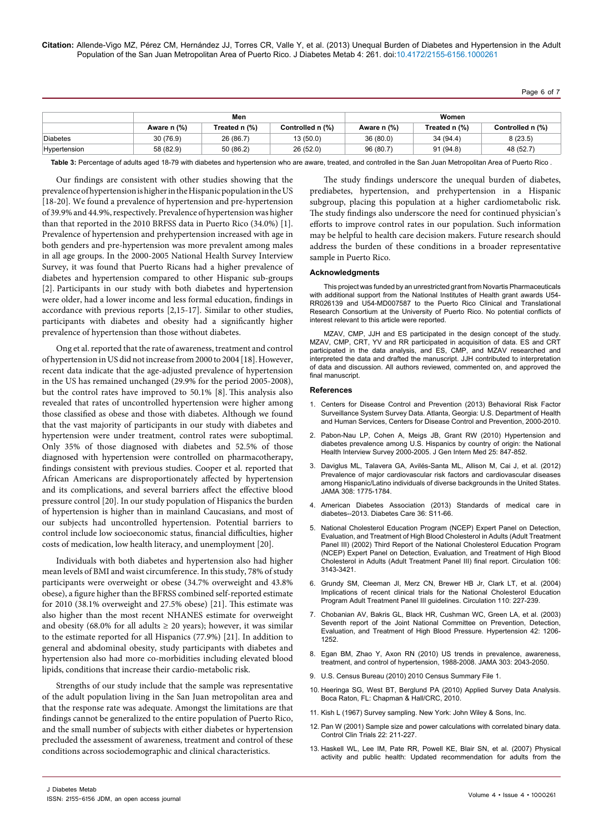Page 6 of 7

|              | Men         |               |                  | Women       |               |                  |
|--------------|-------------|---------------|------------------|-------------|---------------|------------------|
|              | Aware n (%) | Treated n (%) | Controlled n (%) | Aware n (%) | Treated n (%) | Controlled n (%) |
| Diabetes     | 30(76.9)    | 26 (86.7)     | 13(50.0)         | 36(80.0)    | 34 (94.4)     | 8(23.5)          |
| Hypertension | 58 (82.9)   | 50 (86.2)     | 26(52.0)         | 96 (80.7)   | 91(94.8)      | 48 (52.7)        |

Table 3: Percentage of adults aged 18-79 with diabetes and hypertension who are aware, treated, and controlled in the San Juan Metropolitan Area of Puerto Rico.

Our findings are consistent with other studies showing that the prevalence of hypertension is higher in the Hispanic population in the US [18-20]. We found a prevalence of hypertension and pre-hypertension of 39.9% and 44.9%, respectively. Prevalence of hypertension was higher than that reported in the 2010 BRFSS data in Puerto Rico (34.0%) [1]. Prevalence of hypertension and prehypertension increased with age in both genders and pre-hypertension was more prevalent among males in all age groups. In the 2000-2005 National Health Survey Interview Survey, it was found that Puerto Ricans had a higher prevalence of diabetes and hypertension compared to other Hispanic sub-groups [2]. Participants in our study with both diabetes and hypertension were older, had a lower income and less formal education, findings in accordance with previous reports [2,15-17]. Similar to other studies, participants with diabetes and obesity had a significantly higher prevalence of hypertension than those without diabetes.

Ong et al. reported that the rate of awareness, treatment and control of hypertension in US did not increase from 2000 to 2004 [18]. However, recent data indicate that the age-adjusted prevalence of hypertension in the US has remained unchanged (29.9% for the period 2005-2008), but the control rates have improved to 50.1% [8]. This analysis also revealed that rates of uncontrolled hypertension were higher among those classified as obese and those with diabetes. Although we found that the vast majority of participants in our study with diabetes and hypertension were under treatment, control rates were suboptimal. Only 35% of those diagnosed with diabetes and 52.5% of those diagnosed with hypertension were controlled on pharmacotherapy, findings consistent with previous studies. Cooper et al. reported that African Americans are disproportionately affected by hypertension and its complications, and several barriers affect the effective blood pressure control [20]. In our study population of Hispanics the burden of hypertension is higher than in mainland Caucasians, and most of our subjects had uncontrolled hypertension. Potential barriers to control include low socioeconomic status, financial difficulties, higher costs of medication, low health literacy, and unemployment [20].

Individuals with both diabetes and hypertension also had higher mean levels of BMI and waist circumference. In this study, 78% of study participants were overweight or obese (34.7% overweight and 43.8% obese), a figure higher than the BFRSS combined self-reported estimate for 2010 (38.1% overweight and 27.5% obese) [21]. This estimate was also higher than the most recent NHANES estimate for overweight and obesity (68.0% for all adults  $\geq$  20 years); however, it was similar to the estimate reported for all Hispanics (77.9%) [21]. In addition to general and abdominal obesity, study participants with diabetes and hypertension also had more co-morbidities including elevated blood lipids, conditions that increase their cardio-metabolic risk.

Strengths of our study include that the sample was representative of the adult population living in the San Juan metropolitan area and that the response rate was adequate. Amongst the limitations are that findings cannot be generalized to the entire population of Puerto Rico, and the small number of subjects with either diabetes or hypertension precluded the assessment of awareness, treatment and control of these conditions across sociodemographic and clinical characteristics.

The study findings underscore the unequal burden of diabetes, prediabetes, hypertension, and prehypertension in a Hispanic subgroup, placing this population at a higher cardiometabolic risk. The study findings also underscore the need for continued physician's efforts to improve control rates in our population. Such information may be helpful to health care decision makers. Future research should address the burden of these conditions in a broader representative sample in Puerto Rico.

#### **Acknowledgments**

This project was funded by an unrestricted grant from Novartis Pharmaceuticals with additional support from the National Institutes of Health grant awards U54- RR026139 and U54-MD007587 to the Puerto Rico Clinical and Translational Research Consortium at the University of Puerto Rico. No potential conflicts of interest relevant to this article were reported.

MZAV, CMP, JJH and ES participated in the design concept of the study. MZAV, CMP, CRT, YV and RR participated in acquisition of data. ES and CRT participated in the data analysis, and ES, CMP, and MZAV researched and interpreted the data and drafted the manuscript. JJH contributed to interpretation of data and discussion. All authors reviewed, commented on, and approved the final manuscript.

#### **References**

- 1. [Centers for Disease Control and Prevention \(2013\) Behavioral Risk Factor](http://apps.nccd.cdc.gov/DDT_STRS2/CountyPrevalenceData.aspx?stateId=72&Mode=DBT)  [Surveillance System Survey Data. Atlanta, Georgia: U.S. Department of Health](http://apps.nccd.cdc.gov/DDT_STRS2/CountyPrevalenceData.aspx?stateId=72&Mode=DBT)  [and Human Services, Centers for Disease Control and Prevention, 2000-2010.](http://apps.nccd.cdc.gov/DDT_STRS2/CountyPrevalenceData.aspx?stateId=72&Mode=DBT)
- 2. [Pabon-Nau LP, Cohen A, Meigs JB, Grant RW \(2010\) Hypertension and](http://www.ncbi.nlm.nih.gov/pubmed/20490949)  [diabetes prevalence among U.S. Hispanics by country of origin: the National](http://www.ncbi.nlm.nih.gov/pubmed/20490949)  [Health Interview Survey 2000-2005. J Gen Intern Med 25: 847-852.](http://www.ncbi.nlm.nih.gov/pubmed/20490949)
- 3. [Daviglus ML, Talavera GA, Avilés-Santa ML, Allison M, Cai J, et al. \(2012\)](http://www.ncbi.nlm.nih.gov/pubmed/23117778)  [Prevalence of major cardiovascular risk factors and cardiovascular diseases](http://www.ncbi.nlm.nih.gov/pubmed/23117778)  [among Hispanic/Latino individuals of diverse backgrounds in the United States.](http://www.ncbi.nlm.nih.gov/pubmed/23117778)  [JAMA 308: 1775-1784.](http://www.ncbi.nlm.nih.gov/pubmed/23117778)
- 4. [American Diabetes Association \(2013\) Standards of medical care in](http://www.ncbi.nlm.nih.gov/pubmed/23264422)  [diabetes--2013. Diabetes Care 36: S11-66.](http://www.ncbi.nlm.nih.gov/pubmed/23264422)
- 5. [National Cholesterol Education Program \(NCEP\) Expert Panel on Detection,](http://www.ncbi.nlm.nih.gov/pubmed/12485966)  [Evaluation, and Treatment of High Blood Cholesterol in Adults \(Adult Treatment](http://www.ncbi.nlm.nih.gov/pubmed/12485966)  [Panel III\) \(2002\) Third Report of the National Cholesterol Education Program](http://www.ncbi.nlm.nih.gov/pubmed/12485966)  [\(NCEP\) Expert Panel on Detection, Evaluation, and Treatment of High Blood](http://www.ncbi.nlm.nih.gov/pubmed/12485966)  [Cholesterol in Adults \(Adult Treatment Panel III\) final report. Circulation 106:](http://www.ncbi.nlm.nih.gov/pubmed/12485966)  [3143-3421.](http://www.ncbi.nlm.nih.gov/pubmed/12485966)
- 6. [Grundy SM, Cleeman JI, Merz CN, Brewer HB Jr, Clark LT, et al. \(2004\)](http://www.ncbi.nlm.nih.gov/pubmed/15249516)  [Implications of recent clinical trials for the National Cholesterol Education](http://www.ncbi.nlm.nih.gov/pubmed/15249516)  [Program Adult Treatment Panel III guidelines. Circulation 110: 227-239.](http://www.ncbi.nlm.nih.gov/pubmed/15249516)
- 7. [Chobanian AV, Bakris GL, Black HR, Cushman WC, Green LA, et al. \(2003\)](http://www.ncbi.nlm.nih.gov/pubmed/14656957)  [Seventh report of the Joint National Committee on Prevention, Detection,](http://www.ncbi.nlm.nih.gov/pubmed/14656957)  [Evaluation, and Treatment of High Blood Pressure. Hypertension 42: 1206-](http://www.ncbi.nlm.nih.gov/pubmed/14656957) [1252.](http://www.ncbi.nlm.nih.gov/pubmed/14656957)
- 8. [Egan BM, Zhao Y, Axon RN \(2010\) US trends in prevalence, awareness,](http://www.ncbi.nlm.nih.gov/pubmed/20501926)  [treatment, and control of hypertension, 1988-2008. JAMA 303: 2043-2050.](http://www.ncbi.nlm.nih.gov/pubmed/20501926)
- U.S. Census Bureau (2010) 2010 Census Summary File 1.
- 10. Heeringa SG, West BT, Berglund PA (2010) Applied Survey Data Analysis. Boca Raton, FL: Chapman & Hall/CRC, 2010.
- 11. Kish L (1967) Survey sampling. New York: John Wiley & Sons, Inc.
- 12. [Pan W \(2001\) Sample size and power calculations with correlated binary data.](http://www.ncbi.nlm.nih.gov/pubmed/11384786)  [Control Clin Trials 22: 211-227.](http://www.ncbi.nlm.nih.gov/pubmed/11384786)
- 13. [Haskell WL, Lee IM, Pate RR, Powell KE, Blair SN, et al. \(2007\) Physical](http://www.kines.uiuc.edu/kines-courses/kin452-ellenevans/KIN452_F07/ACSM_AHA_2007Guidelines_Haskell_MSSE.pdf)  [activity and public health: Updated recommendation for adults from the](http://www.kines.uiuc.edu/kines-courses/kin452-ellenevans/KIN452_F07/ACSM_AHA_2007Guidelines_Haskell_MSSE.pdf)